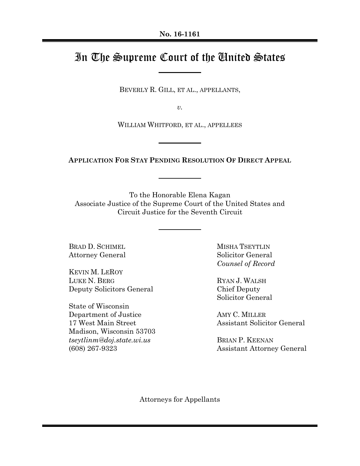# In The Supreme Court of the United States

BEVERLY R. GILL, ET AL., APPELLANTS,

*v.*

WILLIAM WHITFORD, ET AL., APPELLEES

**APPLICATION FOR STAY PENDING RESOLUTION OF DIRECT APPEAL**

To the Honorable Elena Kagan Associate Justice of the Supreme Court of the United States and Circuit Justice for the Seventh Circuit

BRAD D. SCHIMEL Attorney General

KEVIN M. LEROY LUKE N. BERG Deputy Solicitors General

State of Wisconsin Department of Justice 17 West Main Street Madison, Wisconsin 53703 *tseytlinm@doj.state.wi.us* (608) 267-9323

MISHA TSEYTLIN Solicitor General *Counsel of Record*

RYAN J. WALSH Chief Deputy Solicitor General

AMY C. MILLER Assistant Solicitor General

BRIAN P. KEENAN Assistant Attorney General

Attorneys for Appellants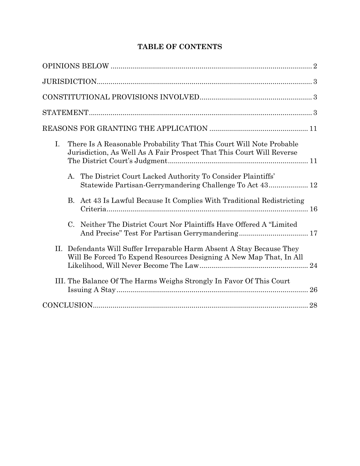| I.<br>There Is A Reasonable Probability That This Court Will Note Probable<br>Jurisdiction, As Well As A Fair Prospect That This Court Will Reverse    |
|--------------------------------------------------------------------------------------------------------------------------------------------------------|
| The District Court Lacked Authority To Consider Plaintiffs'<br>А.<br>Statewide Partisan-Gerrymandering Challenge To Act 43 12                          |
| B. Act 43 Is Lawful Because It Complies With Traditional Redistricting                                                                                 |
| Neither The District Court Nor Plaintiffs Have Offered A "Limited<br>$C_{\cdot}$                                                                       |
| II.<br>Defendants Will Suffer Irreparable Harm Absent A Stay Because They<br>Will Be Forced To Expend Resources Designing A New Map That, In All<br>24 |
| III. The Balance Of The Harms Weighs Strongly In Favor Of This Court<br>26                                                                             |
| 28                                                                                                                                                     |

# **TABLE OF CONTENTS**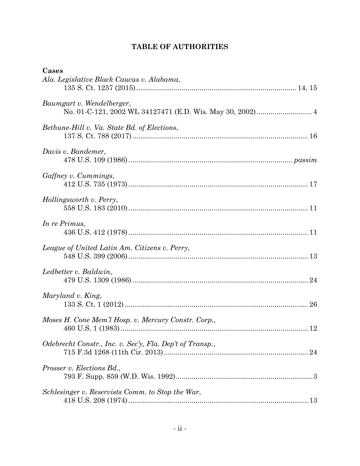# **TABLE OF AUTHORITIES**

| Cases<br>Ala. Legislative Black Caucus v. Alabama,       |
|----------------------------------------------------------|
|                                                          |
| Baumgart v. Wendelberger,                                |
| Bethune-Hill v. Va. State Bd. of Elections,              |
| Davis v. Bandemer,                                       |
| Gaffney v. Cummings,                                     |
| Hollingsworth v. Perry,                                  |
| In re Primus,                                            |
| League of United Latin Am. Citizens v. Perry,            |
| Ledbetter v. Baldwin,                                    |
| Maryland v. King,                                        |
| Moses H. Cone Mem'l Hosp. v. Mercury Constr. Corp.,      |
| Odebrecht Constr., Inc. v. Sec'y, Fla. Dep't of Transp., |
| <i>Prosser v. Elections Bd.,</i>                         |
| Schlesinger v. Reservists Comm. to Stop the War,         |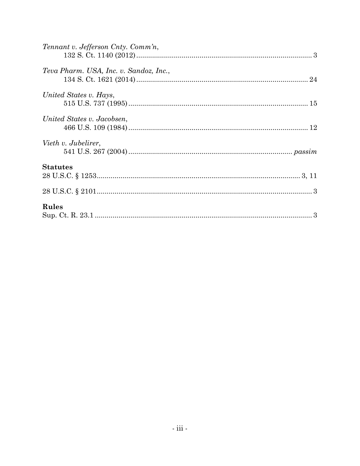| Tennant v. Jefferson Cnty. Comm'n,     |  |
|----------------------------------------|--|
|                                        |  |
| Teva Pharm. USA, Inc. v. Sandoz, Inc., |  |
|                                        |  |
| United States v. Hays,                 |  |
|                                        |  |
| United States v. Jacobsen,             |  |
|                                        |  |
| Vieth v. Jubelirer,                    |  |
|                                        |  |
| <b>Statutes</b>                        |  |
|                                        |  |
|                                        |  |
| Rules                                  |  |
|                                        |  |
|                                        |  |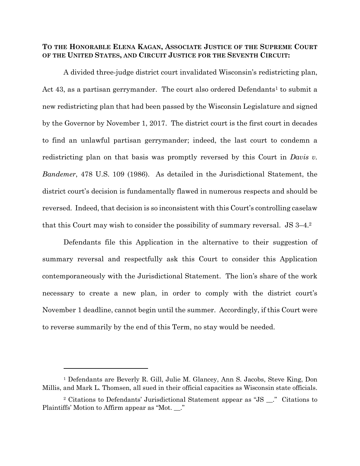#### **TO THE HONORABLE ELENA KAGAN, ASSOCIATE JUSTICE OF THE SUPREME COURT OF THE UNITED STATES, AND CIRCUIT JUSTICE FOR THE SEVENTH CIRCUIT:**

A divided three-judge district court invalidated Wisconsin's redistricting plan, Act 43, as a partisan gerrymander. The court also ordered Defendants<sup>1</sup> to submit a new redistricting plan that had been passed by the Wisconsin Legislature and signed by the Governor by November 1, 2017. The district court is the first court in decades to find an unlawful partisan gerrymander; indeed, the last court to condemn a redistricting plan on that basis was promptly reversed by this Court in *Davis v. Bandemer*, 478 U.S. 109 (1986). As detailed in the Jurisdictional Statement, the district court's decision is fundamentally flawed in numerous respects and should be reversed. Indeed, that decision is so inconsistent with this Court's controlling caselaw that this Court may wish to consider the possibility of summary reversal. JS 3–4. 2

Defendants file this Application in the alternative to their suggestion of summary reversal and respectfully ask this Court to consider this Application contemporaneously with the Jurisdictional Statement. The lion's share of the work necessary to create a new plan, in order to comply with the district court's November 1 deadline, cannot begin until the summer. Accordingly, if this Court were to reverse summarily by the end of this Term, no stay would be needed.

l

<sup>1</sup> Defendants are Beverly R. Gill, Julie M. Glancey, Ann S. Jacobs, Steve King, Don Millis, and Mark L. Thomsen, all sued in their official capacities as Wisconsin state officials.

<sup>2</sup> Citations to Defendants' Jurisdictional Statement appear as "JS \_\_." Citations to Plaintiffs' Motion to Affirm appear as "Mot. \_\_."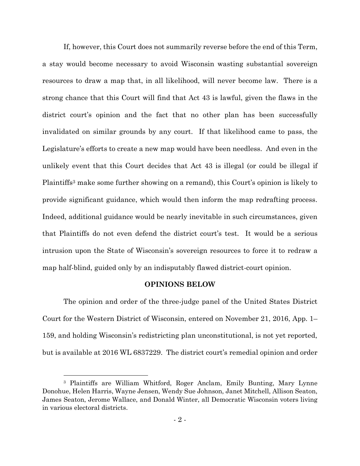If, however, this Court does not summarily reverse before the end of this Term, a stay would become necessary to avoid Wisconsin wasting substantial sovereign resources to draw a map that, in all likelihood, will never become law. There is a strong chance that this Court will find that Act 43 is lawful, given the flaws in the district court's opinion and the fact that no other plan has been successfully invalidated on similar grounds by any court. If that likelihood came to pass, the Legislature's efforts to create a new map would have been needless. And even in the unlikely event that this Court decides that Act 43 is illegal (or could be illegal if Plaintiffs<sup>3</sup> make some further showing on a remand), this Court's opinion is likely to provide significant guidance, which would then inform the map redrafting process. Indeed, additional guidance would be nearly inevitable in such circumstances, given that Plaintiffs do not even defend the district court's test. It would be a serious intrusion upon the State of Wisconsin's sovereign resources to force it to redraw a map half-blind, guided only by an indisputably flawed district-court opinion.

#### **OPINIONS BELOW**

<span id="page-5-0"></span>The opinion and order of the three-judge panel of the United States District Court for the Western District of Wisconsin, entered on November 21, 2016, App. 1– 159, and holding Wisconsin's redistricting plan unconstitutional, is not yet reported, but is available at 2016 WL 6837229. The district court's remedial opinion and order

l

<sup>3</sup> Plaintiffs are William Whitford, Roger Anclam, Emily Bunting, Mary Lynne Donohue, Helen Harris, Wayne Jensen, Wendy Sue Johnson, Janet Mitchell, Allison Seaton, James Seaton, Jerome Wallace, and Donald Winter, all Democratic Wisconsin voters living in various electoral districts.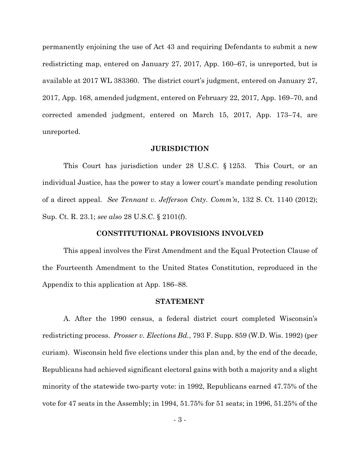permanently enjoining the use of Act 43 and requiring Defendants to submit a new redistricting map, entered on January 27, 2017, App. 160–67, is unreported, but is available at 2017 WL 383360. The district court's judgment, entered on January 27, 2017, App. 168, amended judgment, entered on February 22, 2017, App. 169–70, and corrected amended judgment, entered on March 15, 2017, App. 173–74, are unreported.

#### **JURISDICTION**

<span id="page-6-0"></span>This Court has jurisdiction under 28 U.S.C. § 1253. This Court, or an individual Justice, has the power to stay a lower court's mandate pending resolution of a direct appeal. *See Tennant v. Jefferson Cnty. Comm'n*, 132 S. Ct. 1140 (2012); Sup. Ct. R. 23.1; *see also* 28 U.S.C. § 2101(f).

#### **CONSTITUTIONAL PROVISIONS INVOLVED**

<span id="page-6-1"></span>This appeal involves the First Amendment and the Equal Protection Clause of the Fourteenth Amendment to the United States Constitution, reproduced in the Appendix to this application at App. 186–88.

#### **STATEMENT**

<span id="page-6-2"></span>A. After the 1990 census, a federal district court completed Wisconsin's redistricting process. *Prosser v. Elections Bd.*, 793 F. Supp. 859 (W.D. Wis. 1992) (per curiam). Wisconsin held five elections under this plan and, by the end of the decade, Republicans had achieved significant electoral gains with both a majority and a slight minority of the statewide two-party vote: in 1992, Republicans earned 47.75% of the vote for 47 seats in the Assembly; in 1994, 51.75% for 51 seats; in 1996, 51.25% of the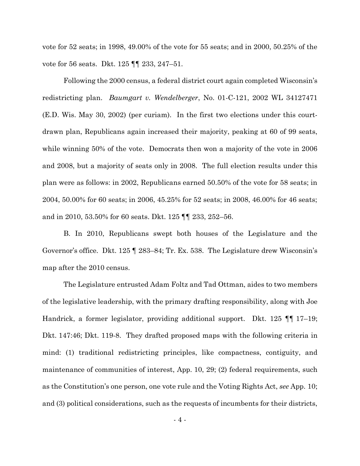vote for 52 seats; in 1998, 49.00% of the vote for 55 seats; and in 2000, 50.25% of the vote for 56 seats. Dkt. 125 **[**¶ 233, 247–51.

Following the 2000 census, a federal district court again completed Wisconsin's redistricting plan. *Baumgart v. Wendelberger*, No. 01-C-121, 2002 WL 34127471 (E.D. Wis. May 30, 2002) (per curiam). In the first two elections under this courtdrawn plan, Republicans again increased their majority, peaking at 60 of 99 seats, while winning 50% of the vote. Democrats then won a majority of the vote in 2006 and 2008, but a majority of seats only in 2008. The full election results under this plan were as follows: in 2002, Republicans earned 50.50% of the vote for 58 seats; in 2004, 50.00% for 60 seats; in 2006, 45.25% for 52 seats; in 2008, 46.00% for 46 seats; and in 2010, 53.50% for 60 seats. Dkt. 125 ¶¶ 233, 252–56.

B. In 2010, Republicans swept both houses of the Legislature and the Governor's office. Dkt. 125 ¶ 283–84; Tr. Ex. 538. The Legislature drew Wisconsin's map after the 2010 census.

The Legislature entrusted Adam Foltz and Tad Ottman, aides to two members of the legislative leadership, with the primary drafting responsibility, along with Joe Handrick, a former legislator, providing additional support. Dkt. 125 ¶¶ 17–19; Dkt. 147:46; Dkt. 119-8. They drafted proposed maps with the following criteria in mind: (1) traditional redistricting principles, like compactness, contiguity, and maintenance of communities of interest, App. 10, 29; (2) federal requirements, such as the Constitution's one person, one vote rule and the Voting Rights Act, *see* App. 10; and (3) political considerations, such as the requests of incumbents for their districts,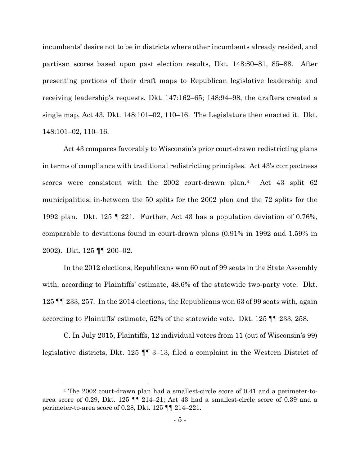incumbents' desire not to be in districts where other incumbents already resided, and partisan scores based upon past election results, Dkt. 148:80–81, 85–88. After presenting portions of their draft maps to Republican legislative leadership and receiving leadership's requests, Dkt. 147:162–65; 148:94–98, the drafters created a single map, Act 43, Dkt. 148:101–02, 110–16. The Legislature then enacted it. Dkt. 148:101–02, 110–16.

Act 43 compares favorably to Wisconsin's prior court-drawn redistricting plans in terms of compliance with traditional redistricting principles. Act 43's compactness scores were consistent with the 2002 court-drawn plan.4 Act 43 split 62 municipalities; in-between the 50 splits for the 2002 plan and the 72 splits for the 1992 plan. Dkt. 125 ¶ 221. Further, Act 43 has a population deviation of 0.76%, comparable to deviations found in court-drawn plans (0.91% in 1992 and 1.59% in 2002). Dkt. 125 ¶¶ 200–02.

In the 2012 elections, Republicans won 60 out of 99 seats in the State Assembly with, according to Plaintiffs' estimate, 48.6% of the statewide two-party vote. Dkt. 125 ¶¶ 233, 257. In the 2014 elections, the Republicans won 63 of 99 seats with, again according to Plaintiffs' estimate, 52% of the statewide vote. Dkt. 125 ¶¶ 233, 258.

C. In July 2015, Plaintiffs, 12 individual voters from 11 (out of Wisconsin's 99) legislative districts, Dkt. 125 ¶¶ 3–13, filed a complaint in the Western District of

 $\overline{a}$ 

<sup>4</sup> The 2002 court-drawn plan had a smallest-circle score of 0.41 and a perimeter-toarea score of 0.29, Dkt. 125  $\P$  1214–21; Act 43 had a smallest-circle score of 0.39 and a perimeter-to-area score of 0.28, Dkt. 125 ¶¶ 214–221.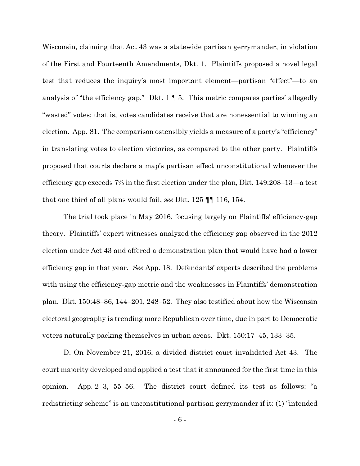Wisconsin, claiming that Act 43 was a statewide partisan gerrymander, in violation of the First and Fourteenth Amendments, Dkt. 1. Plaintiffs proposed a novel legal test that reduces the inquiry's most important element—partisan "effect"—to an analysis of "the efficiency gap." Dkt. 1 ¶ 5. This metric compares parties' allegedly "wasted" votes; that is, votes candidates receive that are nonessential to winning an election. App. 81. The comparison ostensibly yields a measure of a party's "efficiency" in translating votes to election victories, as compared to the other party. Plaintiffs proposed that courts declare a map's partisan effect unconstitutional whenever the efficiency gap exceeds 7% in the first election under the plan, Dkt. 149:208–13—a test that one third of all plans would fail, *see* Dkt. 125 ¶¶ 116, 154.

The trial took place in May 2016, focusing largely on Plaintiffs' efficiency-gap theory. Plaintiffs' expert witnesses analyzed the efficiency gap observed in the 2012 election under Act 43 and offered a demonstration plan that would have had a lower efficiency gap in that year. *See* App. 18. Defendants' experts described the problems with using the efficiency-gap metric and the weaknesses in Plaintiffs' demonstration plan. Dkt. 150:48–86, 144–201, 248–52. They also testified about how the Wisconsin electoral geography is trending more Republican over time, due in part to Democratic voters naturally packing themselves in urban areas. Dkt. 150:17–45, 133–35.

D. On November 21, 2016, a divided district court invalidated Act 43. The court majority developed and applied a test that it announced for the first time in this opinion. App. 2–3, 55–56. The district court defined its test as follows: "a redistricting scheme" is an unconstitutional partisan gerrymander if it: (1) "intended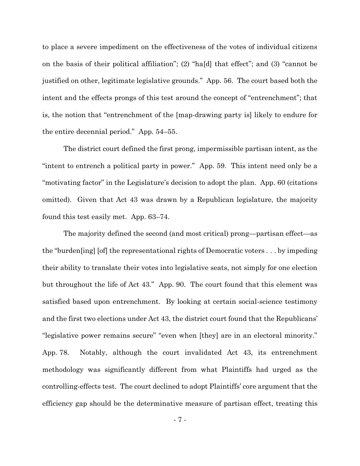to place a severe impediment on the effectiveness of the votes of individual citizens on the basis of their political affiliation"; (2) "ha[d] that effect"; and (3) "cannot be justified on other, legitimate legislative grounds." App. 56. The court based both the intent and the effects prongs of this test around the concept of "entrenchment"; that is, the notion that "entrenchment of the [map-drawing party is] likely to endure for the entire decennial period." App. 54–55.

The district court defined the first prong, impermissible partisan intent, as the "intent to entrench a political party in power." App. 59. This intent need only be a "motivating factor" in the Legislature's decision to adopt the plan. App. 60 (citations omitted). Given that Act 43 was drawn by a Republican legislature, the majority found this test easily met. App. 63–74.

The majority defined the second (and most critical) prong—partisan effect—as the "burden[ing] [of] the representational rights of Democratic voters . . . by impeding their ability to translate their votes into legislative seats, not simply for one election but throughout the life of Act 43." App. 90. The court found that this element was satisfied based upon entrenchment. By looking at certain social-science testimony and the first two elections under Act 43, the district court found that the Republicans' "legislative power remains secure" "even when [they] are in an electoral minority." App. 78. Notably, although the court invalidated Act 43, its entrenchment methodology was significantly different from what Plaintiffs had urged as the controlling-effects test. The court declined to adopt Plaintiffs' core argument that the efficiency gap should be the determinative measure of partisan effect, treating this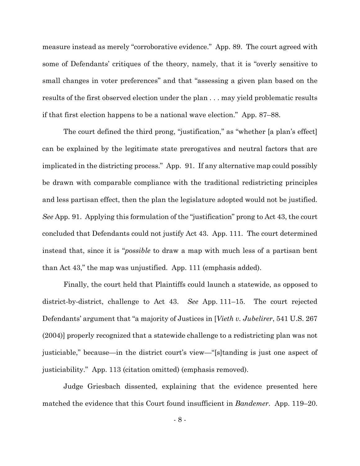measure instead as merely "corroborative evidence." App. 89. The court agreed with some of Defendants' critiques of the theory, namely, that it is "overly sensitive to small changes in voter preferences" and that "assessing a given plan based on the results of the first observed election under the plan . . . may yield problematic results if that first election happens to be a national wave election." App. 87–88.

The court defined the third prong, "justification," as "whether [a plan's effect] can be explained by the legitimate state prerogatives and neutral factors that are implicated in the districting process." App. 91. If any alternative map could possibly be drawn with comparable compliance with the traditional redistricting principles and less partisan effect, then the plan the legislature adopted would not be justified. *See* App. 91. Applying this formulation of the "justification" prong to Act 43, the court concluded that Defendants could not justify Act 43. App. 111. The court determined instead that, since it is "*possible* to draw a map with much less of a partisan bent than Act 43," the map was unjustified. App. 111 (emphasis added).

Finally, the court held that Plaintiffs could launch a statewide, as opposed to district-by-district, challenge to Act 43. *See* App. 111–15. The court rejected Defendants' argument that "a majority of Justices in [*Vieth v. Jubelirer*, 541 U.S. 267 (2004)] properly recognized that a statewide challenge to a redistricting plan was not justiciable," because—in the district court's view—"[s]tanding is just one aspect of justiciability." App. 113 (citation omitted) (emphasis removed).

Judge Griesbach dissented, explaining that the evidence presented here matched the evidence that this Court found insufficient in *Bandemer*. App. 119–20.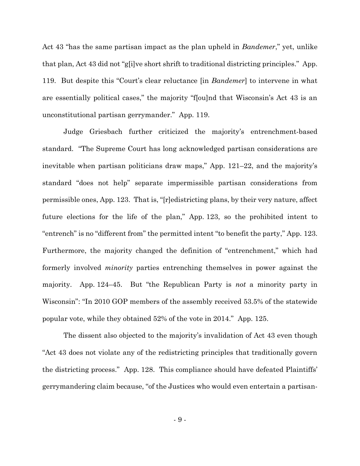Act 43 "has the same partisan impact as the plan upheld in *Bandemer*," yet, unlike that plan, Act 43 did not "g[i]ve short shrift to traditional districting principles." App. 119. But despite this "Court's clear reluctance [in *Bandemer*] to intervene in what are essentially political cases," the majority "f[ou]nd that Wisconsin's Act 43 is an unconstitutional partisan gerrymander." App. 119.

Judge Griesbach further criticized the majority's entrenchment-based standard. "The Supreme Court has long acknowledged partisan considerations are inevitable when partisan politicians draw maps," App. 121–22, and the majority's standard "does not help" separate impermissible partisan considerations from permissible ones, App. 123. That is, "[r]edistricting plans, by their very nature, affect future elections for the life of the plan," App. 123, so the prohibited intent to "entrench" is no "different from" the permitted intent "to benefit the party," App. 123. Furthermore, the majority changed the definition of "entrenchment," which had formerly involved *minority* parties entrenching themselves in power against the majority. App. 124–45. But "the Republican Party is *not* a minority party in Wisconsin": "In 2010 GOP members of the assembly received 53.5% of the statewide popular vote, while they obtained 52% of the vote in 2014." App. 125.

The dissent also objected to the majority's invalidation of Act 43 even though "Act 43 does not violate any of the redistricting principles that traditionally govern the districting process." App. 128. This compliance should have defeated Plaintiffs' gerrymandering claim because, "of the Justices who would even entertain a partisan-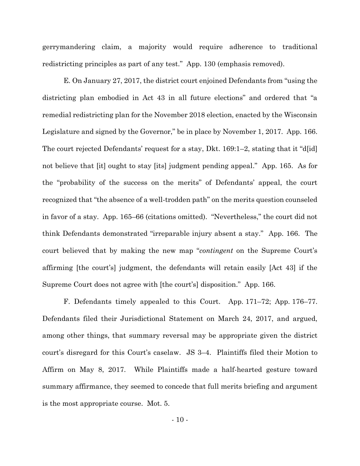gerrymandering claim, a majority would require adherence to traditional redistricting principles as part of any test." App. 130 (emphasis removed).

E. On January 27, 2017, the district court enjoined Defendants from "using the districting plan embodied in Act 43 in all future elections" and ordered that "a remedial redistricting plan for the November 2018 election, enacted by the Wisconsin Legislature and signed by the Governor," be in place by November 1, 2017. App. 166. The court rejected Defendants' request for a stay, Dkt. 169:1–2, stating that it "d[id] not believe that [it] ought to stay [its] judgment pending appeal." App. 165. As for the "probability of the success on the merits" of Defendants' appeal, the court recognized that "the absence of a well-trodden path" on the merits question counseled in favor of a stay. App. 165–66 (citations omitted). "Nevertheless," the court did not think Defendants demonstrated "irreparable injury absent a stay." App. 166. The court believed that by making the new map "*contingent* on the Supreme Court's affirming [the court's] judgment, the defendants will retain easily [Act 43] if the Supreme Court does not agree with [the court's] disposition." App. 166.

F. Defendants timely appealed to this Court. App. 171–72; App. 176–77. Defendants filed their Jurisdictional Statement on March 24, 2017, and argued, among other things, that summary reversal may be appropriate given the district court's disregard for this Court's caselaw. JS 3–4. Plaintiffs filed their Motion to Affirm on May 8, 2017. While Plaintiffs made a half-hearted gesture toward summary affirmance, they seemed to concede that full merits briefing and argument is the most appropriate course. Mot. 5.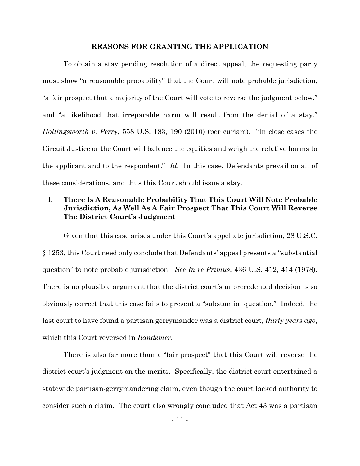#### **REASONS FOR GRANTING THE APPLICATION**

<span id="page-14-0"></span>To obtain a stay pending resolution of a direct appeal, the requesting party must show "a reasonable probability" that the Court will note probable jurisdiction, "a fair prospect that a majority of the Court will vote to reverse the judgment below," and "a likelihood that irreparable harm will result from the denial of a stay." *Hollingsworth v. Perry*, 558 U.S. 183, 190 (2010) (per curiam). "In close cases the Circuit Justice or the Court will balance the equities and weigh the relative harms to the applicant and to the respondent." *Id.* In this case, Defendants prevail on all of these considerations, and thus this Court should issue a stay.

# <span id="page-14-1"></span>**I. There Is A Reasonable Probability That This Court Will Note Probable Jurisdiction, As Well As A Fair Prospect That This Court Will Reverse The District Court's Judgment**

Given that this case arises under this Court's appellate jurisdiction, 28 U.S.C. § 1253, this Court need only conclude that Defendants' appeal presents a "substantial question" to note probable jurisdiction. *See In re Primus*, 436 U.S. 412, 414 (1978). There is no plausible argument that the district court's unprecedented decision is so obviously correct that this case fails to present a "substantial question." Indeed, the last court to have found a partisan gerrymander was a district court, *thirty years ago*, which this Court reversed in *Bandemer*.

There is also far more than a "fair prospect" that this Court will reverse the district court's judgment on the merits. Specifically, the district court entertained a statewide partisan-gerrymandering claim, even though the court lacked authority to consider such a claim. The court also wrongly concluded that Act 43 was a partisan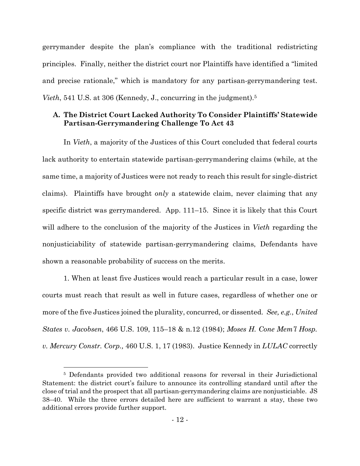gerrymander despite the plan's compliance with the traditional redistricting principles. Finally, neither the district court nor Plaintiffs have identified a "limited and precise rationale," which is mandatory for any partisan-gerrymandering test. *Vieth*, 541 U.S. at 306 (Kennedy, J., concurring in the judgment).<sup>5</sup>

## <span id="page-15-0"></span>**A. The District Court Lacked Authority To Consider Plaintiffs' Statewide Partisan-Gerrymandering Challenge To Act 43**

In *Vieth*, a majority of the Justices of this Court concluded that federal courts lack authority to entertain statewide partisan-gerrymandering claims (while, at the same time, a majority of Justices were not ready to reach this result for single-district claims). Plaintiffs have brought *only* a statewide claim, never claiming that any specific district was gerrymandered. App. 111–15. Since it is likely that this Court will adhere to the conclusion of the majority of the Justices in *Vieth* regarding the nonjusticiability of statewide partisan-gerrymandering claims, Defendants have shown a reasonable probability of success on the merits.

1. When at least five Justices would reach a particular result in a case, lower courts must reach that result as well in future cases, regardless of whether one or more of the five Justices joined the plurality, concurred, or dissented. *See, e.g.*, *United States v. Jacobsen*, 466 U.S. 109, 115–18 & n.12 (1984); *Moses H. Cone Mem'l Hosp. v. Mercury Constr. Corp.,* 460 U.S. 1, 17 (1983). Justice Kennedy in *LULAC* correctly

 $\overline{a}$ 

<sup>5</sup> Defendants provided two additional reasons for reversal in their Jurisdictional Statement: the district court's failure to announce its controlling standard until after the close of trial and the prospect that all partisan-gerrymandering claims are nonjusticiable. JS 38–40. While the three errors detailed here are sufficient to warrant a stay, these two additional errors provide further support.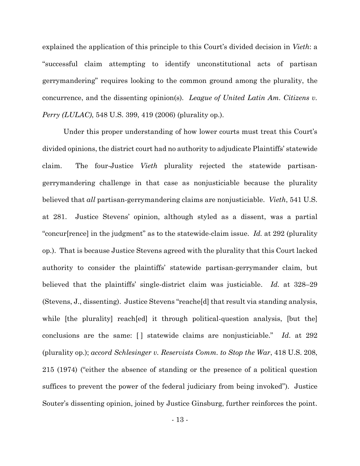explained the application of this principle to this Court's divided decision in *Vieth*: a "successful claim attempting to identify unconstitutional acts of partisan gerrymandering" requires looking to the common ground among the plurality, the concurrence, and the dissenting opinion(s). *League of United Latin Am. Citizens v. Perry (LULAC)*, 548 U.S. 399, 419 (2006) (plurality op.).

Under this proper understanding of how lower courts must treat this Court's divided opinions, the district court had no authority to adjudicate Plaintiffs' statewide claim. The four-Justice *Vieth* plurality rejected the statewide partisangerrymandering challenge in that case as nonjusticiable because the plurality believed that *all* partisan-gerrymandering claims are nonjusticiable. *Vieth*, 541 U.S. at 281. Justice Stevens' opinion, although styled as a dissent, was a partial "concur[rence] in the judgment" as to the statewide-claim issue. *Id.* at 292 (plurality op.). That is because Justice Stevens agreed with the plurality that this Court lacked authority to consider the plaintiffs' statewide partisan-gerrymander claim, but believed that the plaintiffs' single-district claim was justiciable. *Id.* at 328–29 (Stevens, J., dissenting). Justice Stevens "reache[d] that result via standing analysis, while [the plurality] reach[ed] it through political-question analysis, [but the] conclusions are the same: [ ] statewide claims are nonjusticiable." *Id*. at 292 (plurality op.); *accord Schlesinger v. Reservists Comm. to Stop the War*, 418 U.S. 208, 215 (1974) ("either the absence of standing or the presence of a political question suffices to prevent the power of the federal judiciary from being invoked"). Justice Souter's dissenting opinion, joined by Justice Ginsburg, further reinforces the point.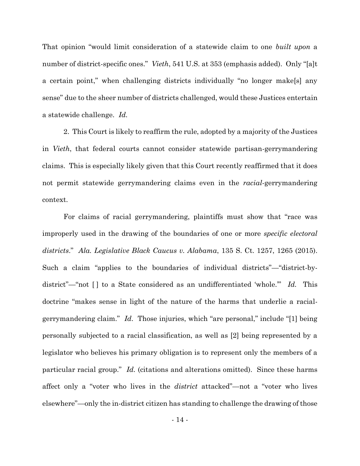That opinion "would limit consideration of a statewide claim to one *built upon* a number of district-specific ones." *Vieth*, 541 U.S. at 353 (emphasis added). Only "[a]t a certain point," when challenging districts individually "no longer make[s] any sense" due to the sheer number of districts challenged, would these Justices entertain a statewide challenge. *Id.*

2. This Court is likely to reaffirm the rule, adopted by a majority of the Justices in *Vieth*, that federal courts cannot consider statewide partisan-gerrymandering claims. This is especially likely given that this Court recently reaffirmed that it does not permit statewide gerrymandering claims even in the *racial*-gerrymandering context.

For claims of racial gerrymandering, plaintiffs must show that "race was improperly used in the drawing of the boundaries of one or more *specific electoral districts*." *Ala. Legislative Black Caucus v. Alabama*, 135 S. Ct. 1257, 1265 (2015). Such a claim "applies to the boundaries of individual districts"—"district-bydistrict"—"not [] to a State considered as an undifferentiated 'whole." *Id.* This doctrine "makes sense in light of the nature of the harms that underlie a racialgerrymandering claim." *Id*. Those injuries, which "are personal," include "[1] being personally subjected to a racial classification, as well as [2] being represented by a legislator who believes his primary obligation is to represent only the members of a particular racial group." *Id.* (citations and alterations omitted). Since these harms affect only a "voter who lives in the *district* attacked"—not a "voter who lives elsewhere"—only the in-district citizen has standing to challenge the drawing of those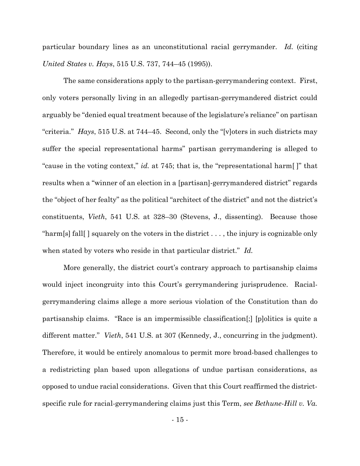particular boundary lines as an unconstitutional racial gerrymander. *Id.* (citing *United States v. Hays*, 515 U.S. 737, 744–45 (1995)).

The same considerations apply to the partisan-gerrymandering context. First, only voters personally living in an allegedly partisan-gerrymandered district could arguably be "denied equal treatment because of the legislature's reliance" on partisan "criteria." *Hays*, 515 U.S. at 744–45. Second, only the "[v]oters in such districts may suffer the special representational harms" partisan gerrymandering is alleged to "cause in the voting context," *id.* at 745; that is, the "representational harm[ ]" that results when a "winner of an election in a [partisan]-gerrymandered district" regards the "object of her fealty" as the political "architect of the district" and not the district's constituents, *Vieth*, 541 U.S. at 328–30 (Stevens, J., dissenting). Because those "harm[s] fall[ ] squarely on the voters in the district . . . , the injury is cognizable only when stated by voters who reside in that particular district." *Id.*

More generally, the district court's contrary approach to partisanship claims would inject incongruity into this Court's gerrymandering jurisprudence. Racialgerrymandering claims allege a more serious violation of the Constitution than do partisanship claims. "Race is an impermissible classification[;] [p]olitics is quite a different matter." *Vieth*, 541 U.S. at 307 (Kennedy, J., concurring in the judgment). Therefore, it would be entirely anomalous to permit more broad-based challenges to a redistricting plan based upon allegations of undue partisan considerations, as opposed to undue racial considerations. Given that this Court reaffirmed the districtspecific rule for racial-gerrymandering claims just this Term, *see Bethune-Hill v. Va.*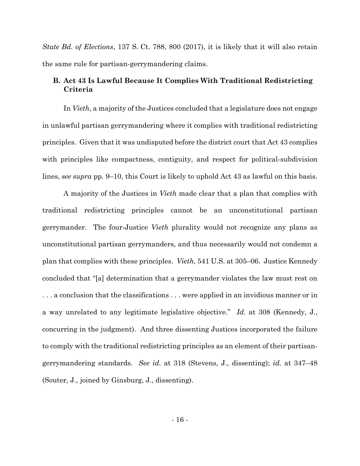*State Bd. of Elections*, 137 S. Ct. 788, 800 (2017), it is likely that it will also retain the same rule for partisan-gerrymandering claims.

## <span id="page-19-0"></span>**B. Act 43 Is Lawful Because It Complies With Traditional Redistricting Criteria**

In *Vieth*, a majority of the Justices concluded that a legislature does not engage in unlawful partisan gerrymandering where it complies with traditional redistricting principles. Given that it was undisputed before the district court that Act 43 complies with principles like compactness, contiguity, and respect for political-subdivision lines, *see supra* pp. 9–10, this Court is likely to uphold Act 43 as lawful on this basis.

A majority of the Justices in *Vieth* made clear that a plan that complies with traditional redistricting principles cannot be an unconstitutional partisan gerrymander. The four-Justice *Vieth* plurality would not recognize any plans as unconstitutional partisan gerrymanders, and thus necessarily would not condemn a plan that complies with these principles. *Vieth*, 541 U.S. at 305–06. Justice Kennedy concluded that "[a] determination that a gerrymander violates the law must rest on . . . a conclusion that the classifications . . . were applied in an invidious manner or in a way unrelated to any legitimate legislative objective." *Id.* at 308 (Kennedy, J., concurring in the judgment). And three dissenting Justices incorporated the failure to comply with the traditional redistricting principles as an element of their partisangerrymandering standards. *See id.* at 318 (Stevens, J., dissenting); *id.* at 347–48 (Souter, J., joined by Ginsburg, J., dissenting).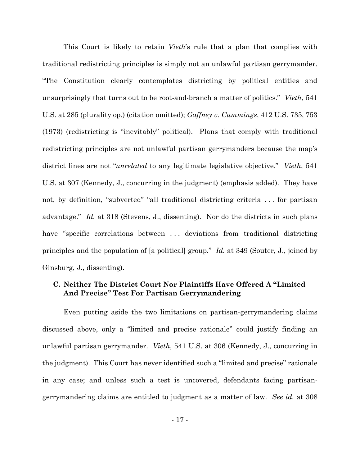This Court is likely to retain *Vieth*'s rule that a plan that complies with traditional redistricting principles is simply not an unlawful partisan gerrymander. "The Constitution clearly contemplates districting by political entities and unsurprisingly that turns out to be root-and-branch a matter of politics." *Vieth*, 541 U.S. at 285 (plurality op.) (citation omitted); *Gaffney v. Cummings*, 412 U.S. 735, 753 (1973) (redistricting is "inevitably" political). Plans that comply with traditional redistricting principles are not unlawful partisan gerrymanders because the map's district lines are not "*unrelated* to any legitimate legislative objective." *Vieth*, 541 U.S. at 307 (Kennedy, J., concurring in the judgment) (emphasis added). They have not, by definition, "subverted" "all traditional districting criteria . . . for partisan advantage." *Id.* at 318 (Stevens, J., dissenting). Nor do the districts in such plans have "specific correlations between ... deviations from traditional districting principles and the population of [a political] group." *Id.* at 349 (Souter, J., joined by Ginsburg, J., dissenting).

## <span id="page-20-0"></span>**C. Neither The District Court Nor Plaintiffs Have Offered A "Limited And Precise" Test For Partisan Gerrymandering**

Even putting aside the two limitations on partisan-gerrymandering claims discussed above, only a "limited and precise rationale" could justify finding an unlawful partisan gerrymander. *Vieth*, 541 U.S. at 306 (Kennedy, J., concurring in the judgment). This Court has never identified such a "limited and precise" rationale in any case; and unless such a test is uncovered, defendants facing partisangerrymandering claims are entitled to judgment as a matter of law. *See id.* at 308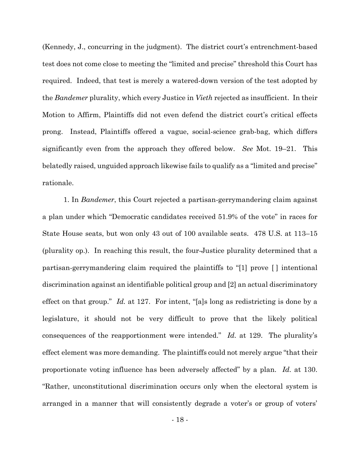(Kennedy, J., concurring in the judgment). The district court's entrenchment-based test does not come close to meeting the "limited and precise" threshold this Court has required. Indeed, that test is merely a watered-down version of the test adopted by the *Bandemer* plurality, which every Justice in *Vieth* rejected as insufficient. In their Motion to Affirm, Plaintiffs did not even defend the district court's critical effects prong. Instead, Plaintiffs offered a vague, social-science grab-bag, which differs significantly even from the approach they offered below. *See* Mot. 19–21. This belatedly raised, unguided approach likewise fails to qualify as a "limited and precise" rationale.

1. In *Bandemer*, this Court rejected a partisan-gerrymandering claim against a plan under which "Democratic candidates received 51.9% of the vote" in races for State House seats, but won only 43 out of 100 available seats. 478 U.S. at 113–15 (plurality op.). In reaching this result, the four-Justice plurality determined that a partisan-gerrymandering claim required the plaintiffs to "[1] prove [ ] intentional discrimination against an identifiable political group and [2] an actual discriminatory effect on that group." *Id.* at 127. For intent, "[a]s long as redistricting is done by a legislature, it should not be very difficult to prove that the likely political consequences of the reapportionment were intended." *Id.* at 129. The plurality's effect element was more demanding. The plaintiffs could not merely argue "that their proportionate voting influence has been adversely affected" by a plan. *Id.* at 130. "Rather, unconstitutional discrimination occurs only when the electoral system is arranged in a manner that will consistently degrade a voter's or group of voters'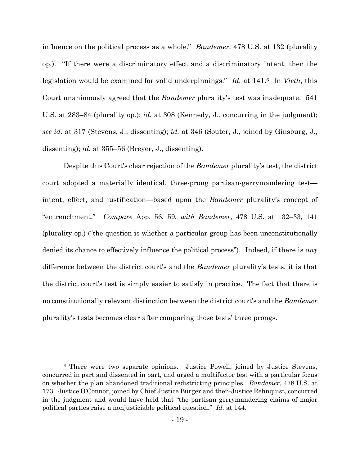influence on the political process as a whole." *Bandemer*, 478 U.S. at 132 (plurality op.). "If there were a discriminatory effect and a discriminatory intent, then the legislation would be examined for valid underpinnings." *Id.* at 141. <sup>6</sup> In *Vieth*, this Court unanimously agreed that the *Bandemer* plurality's test was inadequate. 541 U.S. at 283–84 (plurality op.); *id.* at 308 (Kennedy, J., concurring in the judgment); *see id.* at 317 (Stevens, J., dissenting); *id.* at 346 (Souter, J., joined by Ginsburg, J., dissenting); *id.* at 355–56 (Breyer, J., dissenting).

Despite this Court's clear rejection of the *Bandemer* plurality's test, the district court adopted a materially identical, three-prong partisan-gerrymandering test intent, effect, and justification—based upon the *Bandemer* plurality's concept of "entrenchment." *Compare* App. 56, 59, *with Bandemer*, 478 U.S. at 132–33, 141 (plurality op.) ("the question is whether a particular group has been unconstitutionally denied its chance to effectively influence the political process"). Indeed, if there is *any* difference between the district court's and the *Bandemer* plurality's tests, it is that the district court's test is simply easier to satisfy in practice. The fact that there is no constitutionally relevant distinction between the district court's and the *Bandemer* plurality's tests becomes clear after comparing those tests' three prongs.

 $\overline{a}$ 

<sup>6</sup> There were two separate opinions. Justice Powell, joined by Justice Stevens, concurred in part and dissented in part, and urged a multifactor test with a particular focus on whether the plan abandoned traditional redistricting principles. *Bandemer*, 478 U.S. at 173. Justice O'Connor, joined by Chief Justice Burger and then-Justice Rehnquist, concurred in the judgment and would have held that "the partisan gerrymandering claims of major political parties raise a nonjusticiable political question." *Id.* at 144.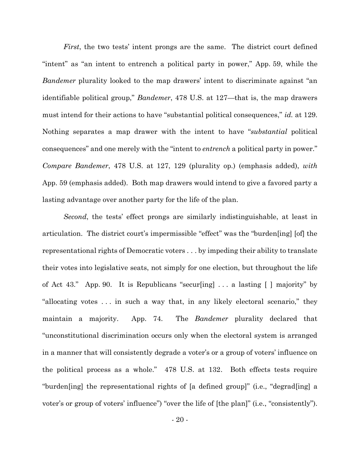*First*, the two tests' intent prongs are the same. The district court defined "intent" as "an intent to entrench a political party in power," App. 59, while the *Bandemer* plurality looked to the map drawers' intent to discriminate against "an identifiable political group," *Bandemer*, 478 U.S. at 127—that is, the map drawers must intend for their actions to have "substantial political consequences," *id.* at 129. Nothing separates a map drawer with the intent to have "*substantial* political consequences" and one merely with the "intent to *entrench* a political party in power." *Compare Bandemer*, 478 U.S. at 127, 129 (plurality op.) (emphasis added), *with*  App. 59 (emphasis added). Both map drawers would intend to give a favored party a lasting advantage over another party for the life of the plan.

*Second*, the tests' effect prongs are similarly indistinguishable, at least in articulation. The district court's impermissible "effect" was the "burden[ing] [of] the representational rights of Democratic voters . . . by impeding their ability to translate their votes into legislative seats, not simply for one election, but throughout the life of Act 43." App. 90. It is Republicans "secur[ing] . . . a lasting [ ] majority" by "allocating votes . . . in such a way that, in any likely electoral scenario," they maintain a majority. App. 74. The *Bandemer* plurality declared that "unconstitutional discrimination occurs only when the electoral system is arranged in a manner that will consistently degrade a voter's or a group of voters' influence on the political process as a whole." 478 U.S. at 132. Both effects tests require "burden[ing] the representational rights of [a defined group]" (i.e., "degrad[ing] a voter's or group of voters' influence") "over the life of [the plan]" (i.e., "consistently").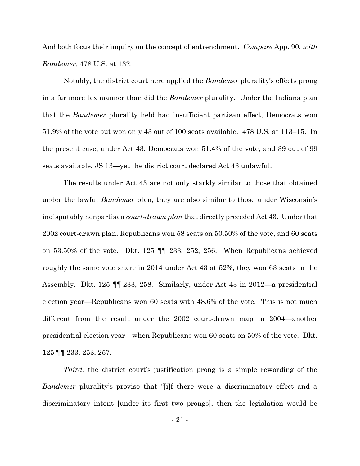And both focus their inquiry on the concept of entrenchment. *Compare* App. 90, *with Bandemer*, 478 U.S. at 132.

Notably, the district court here applied the *Bandemer* plurality's effects prong in a far more lax manner than did the *Bandemer* plurality. Under the Indiana plan that the *Bandemer* plurality held had insufficient partisan effect, Democrats won 51.9% of the vote but won only 43 out of 100 seats available. 478 U.S. at 113–15. In the present case, under Act 43, Democrats won 51.4% of the vote, and 39 out of 99 seats available, JS 13—yet the district court declared Act 43 unlawful.

The results under Act 43 are not only starkly similar to those that obtained under the lawful *Bandemer* plan, they are also similar to those under Wisconsin's indisputably nonpartisan *court-drawn plan* that directly preceded Act 43. Under that 2002 court-drawn plan, Republicans won 58 seats on 50.50% of the vote, and 60 seats on 53.50% of the vote. Dkt. 125 ¶¶ 233, 252, 256. When Republicans achieved roughly the same vote share in 2014 under Act 43 at 52%, they won 63 seats in the Assembly. Dkt. 125 ¶¶ 233, 258. Similarly, under Act 43 in 2012—a presidential election year—Republicans won 60 seats with 48.6% of the vote. This is not much different from the result under the 2002 court-drawn map in 2004—another presidential election year—when Republicans won 60 seats on 50% of the vote. Dkt. 125 ¶¶ 233, 253, 257.

*Third*, the district court's justification prong is a simple rewording of the *Bandemer* plurality's proviso that "[i]f there were a discriminatory effect and a discriminatory intent [under its first two prongs], then the legislation would be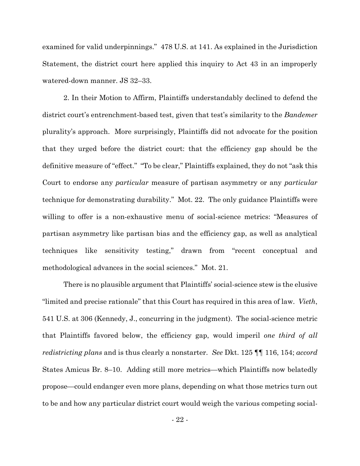examined for valid underpinnings." 478 U.S. at 141. As explained in the Jurisdiction Statement, the district court here applied this inquiry to Act 43 in an improperly watered-down manner. JS 32–33.

2. In their Motion to Affirm, Plaintiffs understandably declined to defend the district court's entrenchment-based test, given that test's similarity to the *Bandemer* plurality's approach. More surprisingly, Plaintiffs did not advocate for the position that they urged before the district court: that the efficiency gap should be the definitive measure of "effect." "To be clear," Plaintiffs explained, they do not "ask this Court to endorse any *particular* measure of partisan asymmetry or any *particular*  technique for demonstrating durability." Mot. 22. The only guidance Plaintiffs were willing to offer is a non-exhaustive menu of social-science metrics: "Measures of partisan asymmetry like partisan bias and the efficiency gap, as well as analytical techniques like sensitivity testing," drawn from "recent conceptual and methodological advances in the social sciences." Mot. 21.

There is no plausible argument that Plaintiffs' social-science stew is the elusive "limited and precise rationale" that this Court has required in this area of law. *Vieth*, 541 U.S. at 306 (Kennedy, J., concurring in the judgment). The social-science metric that Plaintiffs favored below, the efficiency gap, would imperil *one third of all redistricting plans* and is thus clearly a nonstarter. *See* Dkt. 125 ¶¶ 116, 154; *accord*  States Amicus Br. 8–10. Adding still more metrics—which Plaintiffs now belatedly propose—could endanger even more plans, depending on what those metrics turn out to be and how any particular district court would weigh the various competing social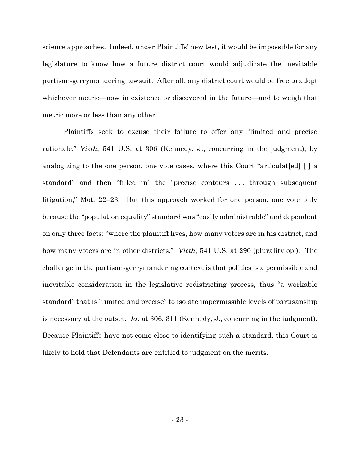science approaches. Indeed, under Plaintiffs' new test, it would be impossible for any legislature to know how a future district court would adjudicate the inevitable partisan-gerrymandering lawsuit. After all, any district court would be free to adopt whichever metric—now in existence or discovered in the future—and to weigh that metric more or less than any other.

Plaintiffs seek to excuse their failure to offer any "limited and precise rationale," *Vieth*, 541 U.S. at 306 (Kennedy, J., concurring in the judgment), by analogizing to the one person, one vote cases, where this Court "articulat[ed] [ ] a standard" and then "filled in" the "precise contours . . . through subsequent litigation," Mot. 22–23. But this approach worked for one person, one vote only because the "population equality" standard was "easily administrable" and dependent on only three facts: "where the plaintiff lives, how many voters are in his district, and how many voters are in other districts." *Vieth*, 541 U.S. at 290 (plurality op.). The challenge in the partisan-gerrymandering context is that politics is a permissible and inevitable consideration in the legislative redistricting process, thus "a workable standard" that is "limited and precise" to isolate impermissible levels of partisanship is necessary at the outset. *Id.* at 306, 311 (Kennedy, J., concurring in the judgment). Because Plaintiffs have not come close to identifying such a standard, this Court is likely to hold that Defendants are entitled to judgment on the merits.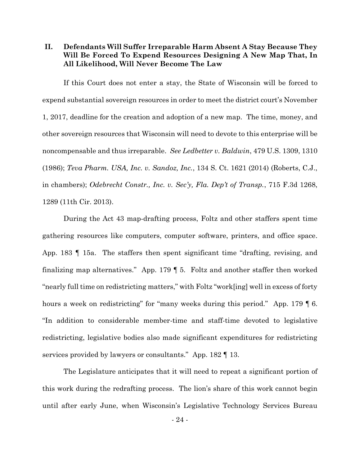<span id="page-27-0"></span>**II. Defendants Will Suffer Irreparable Harm Absent A Stay Because They Will Be Forced To Expend Resources Designing A New Map That, In All Likelihood, Will Never Become The Law**

If this Court does not enter a stay, the State of Wisconsin will be forced to expend substantial sovereign resources in order to meet the district court's November 1, 2017, deadline for the creation and adoption of a new map. The time, money, and other sovereign resources that Wisconsin will need to devote to this enterprise will be noncompensable and thus irreparable. *See Ledbetter v. Baldwin*, 479 U.S. 1309, 1310 (1986); *Teva Pharm. USA, Inc. v. Sandoz, Inc.*, 134 S. Ct. 1621 (2014) (Roberts, C.J., in chambers); *Odebrecht Constr., Inc. v. Sec'y, Fla. Dep't of Transp.*, 715 F.3d 1268, 1289 (11th Cir. 2013).

During the Act 43 map-drafting process, Foltz and other staffers spent time gathering resources like computers, computer software, printers, and office space. App. 183 ¶ 15a. The staffers then spent significant time "drafting, revising, and finalizing map alternatives." App. 179 ¶ 5. Foltz and another staffer then worked "nearly full time on redistricting matters," with Foltz "work[ing] well in excess of forty hours a week on redistricting" for "many weeks during this period." App. 179  $\lll$  6. "In addition to considerable member-time and staff-time devoted to legislative redistricting, legislative bodies also made significant expenditures for redistricting services provided by lawyers or consultants." App. 182 [13.]

The Legislature anticipates that it will need to repeat a significant portion of this work during the redrafting process. The lion's share of this work cannot begin until after early June, when Wisconsin's Legislative Technology Services Bureau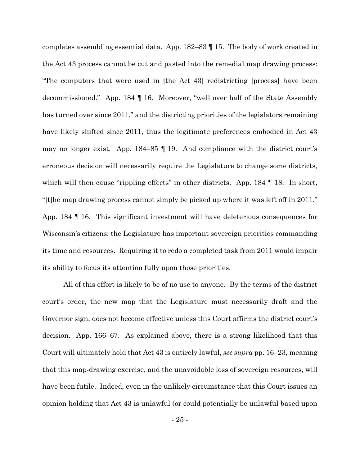completes assembling essential data. App. 182–83 ¶ 15. The body of work created in the Act 43 process cannot be cut and pasted into the remedial map drawing process: "The computers that were used in [the Act 43] redistricting [process] have been decommissioned." App. 184 ¶ 16. Moreover, "well over half of the State Assembly has turned over since 2011," and the districting priorities of the legislators remaining have likely shifted since 2011, thus the legitimate preferences embodied in Act 43 may no longer exist. App. 184–85 ¶ 19. And compliance with the district court's erroneous decision will necessarily require the Legislature to change some districts, which will then cause "rippling effects" in other districts. App. 184 || 18. In short, "[t]he map drawing process cannot simply be picked up where it was left off in 2011." App. 184 ¶ 16. This significant investment will have deleterious consequences for Wisconsin's citizens: the Legislature has important sovereign priorities commanding its time and resources. Requiring it to redo a completed task from 2011 would impair its ability to focus its attention fully upon those priorities.

All of this effort is likely to be of no use to anyone. By the terms of the district court's order, the new map that the Legislature must necessarily draft and the Governor sign, does not become effective unless this Court affirms the district court's decision. App. 166–67. As explained above, there is a strong likelihood that this Court will ultimately hold that Act 43 is entirely lawful, *see supra* pp. 16–23, meaning that this map-drawing exercise, and the unavoidable loss of sovereign resources, will have been futile. Indeed, even in the unlikely circumstance that this Court issues an opinion holding that Act 43 is unlawful (or could potentially be unlawful based upon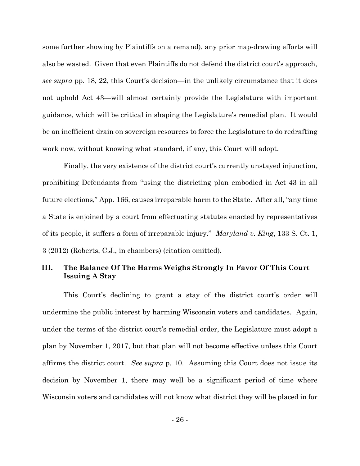some further showing by Plaintiffs on a remand), any prior map-drawing efforts will also be wasted. Given that even Plaintiffs do not defend the district court's approach, *see supra* pp. 18, 22, this Court's decision—in the unlikely circumstance that it does not uphold Act 43—will almost certainly provide the Legislature with important guidance, which will be critical in shaping the Legislature's remedial plan. It would be an inefficient drain on sovereign resources to force the Legislature to do redrafting work now, without knowing what standard, if any, this Court will adopt.

Finally, the very existence of the district court's currently unstayed injunction, prohibiting Defendants from "using the districting plan embodied in Act 43 in all future elections," App. 166, causes irreparable harm to the State. After all, "any time a State is enjoined by a court from effectuating statutes enacted by representatives of its people, it suffers a form of irreparable injury." *Maryland v. King*, 133 S. Ct. 1, 3 (2012) (Roberts, C.J., in chambers) (citation omitted).

# <span id="page-29-0"></span>**III. The Balance Of The Harms Weighs Strongly In Favor Of This Court Issuing A Stay**

This Court's declining to grant a stay of the district court's order will undermine the public interest by harming Wisconsin voters and candidates. Again, under the terms of the district court's remedial order, the Legislature must adopt a plan by November 1, 2017, but that plan will not become effective unless this Court affirms the district court. *See supra* p. 10. Assuming this Court does not issue its decision by November 1, there may well be a significant period of time where Wisconsin voters and candidates will not know what district they will be placed in for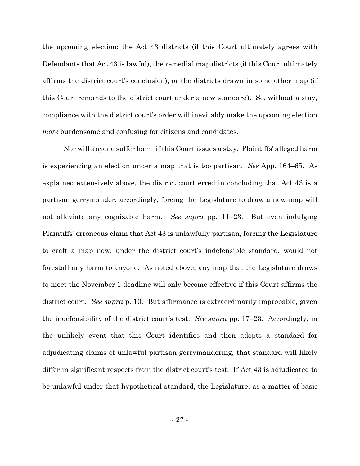the upcoming election: the Act 43 districts (if this Court ultimately agrees with Defendants that Act 43 is lawful), the remedial map districts (if this Court ultimately affirms the district court's conclusion), or the districts drawn in some other map (if this Court remands to the district court under a new standard). So, without a stay, compliance with the district court's order will inevitably make the upcoming election *more* burdensome and confusing for citizens and candidates.

Nor will anyone suffer harm if this Court issues a stay. Plaintiffs' alleged harm is experiencing an election under a map that is too partisan. *See* App. 164–65. As explained extensively above, the district court erred in concluding that Act 43 is a partisan gerrymander; accordingly, forcing the Legislature to draw a new map will not alleviate any cognizable harm. *See supra* pp. 11–23. But even indulging Plaintiffs' erroneous claim that Act 43 is unlawfully partisan, forcing the Legislature to craft a map now, under the district court's indefensible standard, would not forestall any harm to anyone. As noted above, any map that the Legislature draws to meet the November 1 deadline will only become effective if this Court affirms the district court. *See supra* p. 10. But affirmance is extraordinarily improbable, given the indefensibility of the district court's test. *See supra* pp. 17–23. Accordingly, in the unlikely event that this Court identifies and then adopts a standard for adjudicating claims of unlawful partisan gerrymandering, that standard will likely differ in significant respects from the district court's test. If Act 43 is adjudicated to be unlawful under that hypothetical standard, the Legislature, as a matter of basic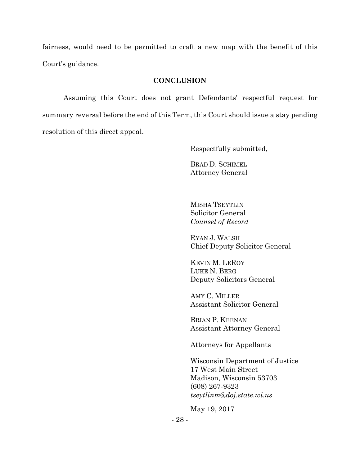fairness, would need to be permitted to craft a new map with the benefit of this Court's guidance.

#### **CONCLUSION**

<span id="page-31-0"></span>Assuming this Court does not grant Defendants' respectful request for summary reversal before the end of this Term, this Court should issue a stay pending resolution of this direct appeal.

Respectfully submitted,

BRAD D. SCHIMEL Attorney General

MISHA TSEYTLIN Solicitor General *Counsel of Record*

RYAN J. WALSH Chief Deputy Solicitor General

KEVIN M. LEROY LUKE N. BERG Deputy Solicitors General

AMY C. MILLER Assistant Solicitor General

BRIAN P. KEENAN Assistant Attorney General

Attorneys for Appellants

Wisconsin Department of Justice 17 West Main Street Madison, Wisconsin 53703 (608) 267-9323 *tseytlinm*@*doj*.*state*.*wi*.*us*

May 19, 2017